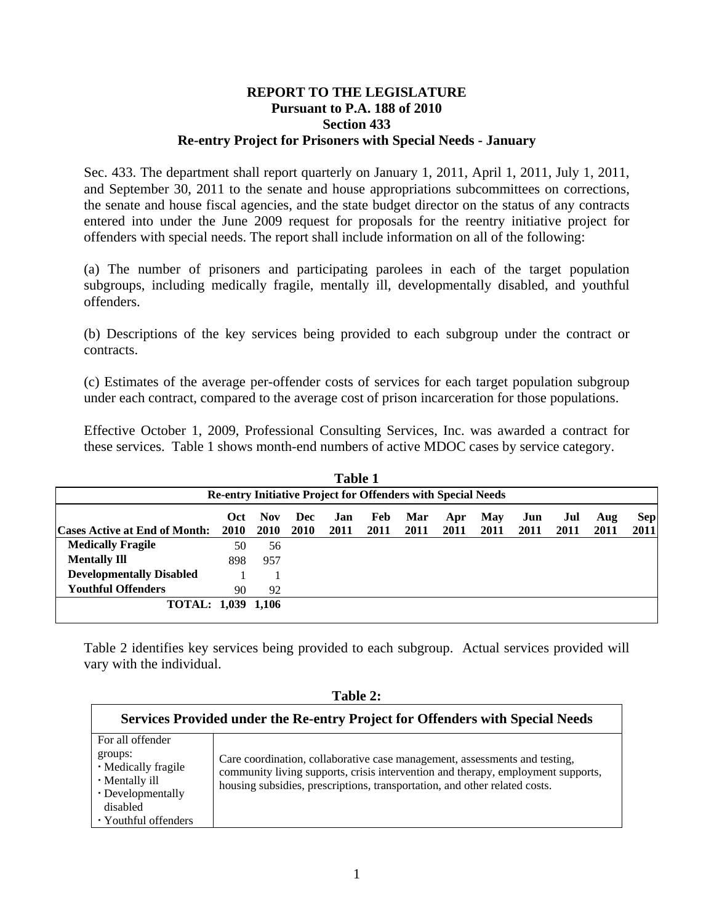## **REPORT TO THE LEGISLATURE Pursuant to P.A. 188 of 2010 Section 433 Re-entry Project for Prisoners with Special Needs - January**

Sec. 433. The department shall report quarterly on January 1, 2011, April 1, 2011, July 1, 2011, and September 30, 2011 to the senate and house appropriations subcommittees on corrections, the senate and house fiscal agencies, and the state budget director on the status of any contracts entered into under the June 2009 request for proposals for the reentry initiative project for offenders with special needs. The report shall include information on all of the following:

(a) The number of prisoners and participating parolees in each of the target population subgroups, including medically fragile, mentally ill, developmentally disabled, and youthful offenders.

(b) Descriptions of the key services being provided to each subgroup under the contract or contracts.

(c) Estimates of the average per-offender costs of services for each target population subgroup under each contract, compared to the average cost of prison incarceration for those populations.

Effective October 1, 2009, Professional Consulting Services, Inc. was awarded a contract for these services. Table 1 shows month-end numbers of active MDOC cases by service category.

| <b>Table 1</b>                                                      |             |             |             |      |      |      |      |      |      |      |      |            |
|---------------------------------------------------------------------|-------------|-------------|-------------|------|------|------|------|------|------|------|------|------------|
| <b>Re-entry Initiative Project for Offenders with Special Needs</b> |             |             |             |      |      |      |      |      |      |      |      |            |
|                                                                     | Oct.        | <b>Nov</b>  | Dec         | Jan  | Feb  | Mar  | Apr  | May  | Jun  | Jul  | Aug  | <b>Sep</b> |
| <b>Cases Active at End of Month:</b>                                | <b>2010</b> | <b>2010</b> | <b>2010</b> | 2011 | 2011 | 2011 | 2011 | 2011 | 2011 | 2011 | 2011 | 2011       |
| <b>Medically Fragile</b>                                            | 50          | 56          |             |      |      |      |      |      |      |      |      |            |
| <b>Mentally Ill</b>                                                 | 898         | 957         |             |      |      |      |      |      |      |      |      |            |
| <b>Developmentally Disabled</b>                                     |             |             |             |      |      |      |      |      |      |      |      |            |
| <b>Youthful Offenders</b>                                           | 90          | 92          |             |      |      |      |      |      |      |      |      |            |
| TOTAL: 1,039 1,106                                                  |             |             |             |      |      |      |      |      |      |      |      |            |

Table 2 identifies key services being provided to each subgroup. Actual services provided will vary with the individual.

| able |  |
|------|--|
|------|--|

| Services Provided under the Re-entry Project for Offenders with Special Needs |                                                                                  |  |  |  |  |  |  |
|-------------------------------------------------------------------------------|----------------------------------------------------------------------------------|--|--|--|--|--|--|
| For all offender                                                              |                                                                                  |  |  |  |  |  |  |
| groups:                                                                       | Care coordination, collaborative case management, assessments and testing,       |  |  |  |  |  |  |
| • Medically fragile<br>• Mentally ill                                         | community living supports, crisis intervention and therapy, employment supports, |  |  |  |  |  |  |
| • Developmentally                                                             | housing subsidies, prescriptions, transportation, and other related costs.       |  |  |  |  |  |  |
| disabled                                                                      |                                                                                  |  |  |  |  |  |  |
| • Youthful offenders                                                          |                                                                                  |  |  |  |  |  |  |